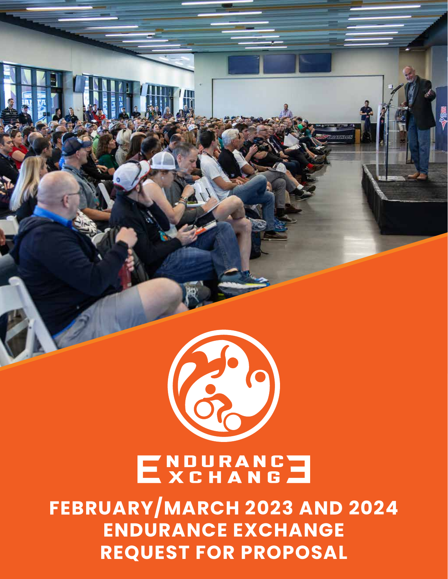

\$

# ENDURANCE

**FEBRUARY/MARCH 2023 AND 2024 ENDURANCE EXCHANGE REQUEST FOR PROPOSAL**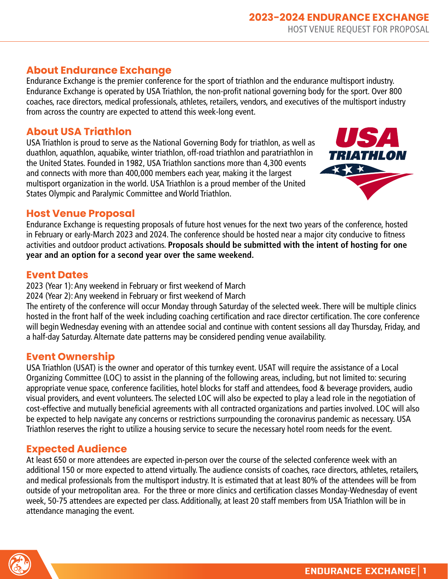#### **About Endurance Exchange**

Endurance Exchange is the premier conference for the sport of triathlon and the endurance multisport industry. Endurance Exchange is operated by USA Triathlon, the non-profit national governing body for the sport. Over 800 coaches, race directors, medical professionals, athletes, retailers, vendors, and executives of the multisport industry from across the country are expected to attend this week-long event.

#### **About USA Triathlon**

USA Triathlon is proud to serve as the National Governing Body for triathlon, as well as duathlon, aquathlon, aquabike, winter triathlon, off-road triathlon and paratriathlon in the United States. Founded in 1982, USA Triathlon sanctions more than 4,300 events and connects with more than 400,000 members each year, making it the largest multisport organization in the world. USA Triathlon is a proud member of the United States Olympic and Paralymic Committee and World Triathlon.



#### **Host Venue Proposal**

Endurance Exchange is requesting proposals of future host venues for the next two years of the conference, hosted in February or early-March 2023 and 2024. The conference should be hosted near a major city conducive to fitness activities and outdoor product activations. **Proposals should be submitted with the intent of hosting for one year and an option for a second year over the same weekend.**

#### **Event Dates**

2023 (Year 1): Any weekend in February or first weekend of March

2024 (Year 2): Any weekend in February or first weekend of March

The entirety of the conference will occur Monday through Saturday of the selected week. There will be multiple clinics hosted in the front half of the week including coaching certification and race director certification. The core conference will begin Wednesday evening with an attendee social and continue with content sessions all day Thursday, Friday, and a half-day Saturday. Alternate date patterns may be considered pending venue availability.

#### **Event Ownership**

USA Triathlon (USAT) is the owner and operator of this turnkey event. USAT will require the assistance of a Local Organizing Committee (LOC) to assist in the planning of the following areas, including, but not limited to: securing appropriate venue space, conference facilities, hotel blocks for staff and attendees, food & beverage providers, audio visual providers, and event volunteers. The selected LOC will also be expected to play a lead role in the negotiation of cost-effective and mutually beneficial agreements with all contracted organizations and parties involved. LOC will also be expected to help navigate any concerns or restrictions surrpounding the coronavirus pandemic as necessary. USA Triathlon reserves the right to utilize a housing service to secure the necessary hotel room needs for the event.

### **Expected Audience**

At least 650 or more attendees are expected in-person over the course of the selected conference week with an additional 150 or more expected to attend virtually. The audience consists of coaches, race directors, athletes, retailers, and medical professionals from the multisport industry. It is estimated that at least 80% of the attendees will be from outside of your metropolitan area. For the three or more clinics and certification classes Monday-Wednesday of event week, 50-75 attendees are expected per class. Additionally, at least 20 staff members from USA Triathlon will be in attendance managing the event.

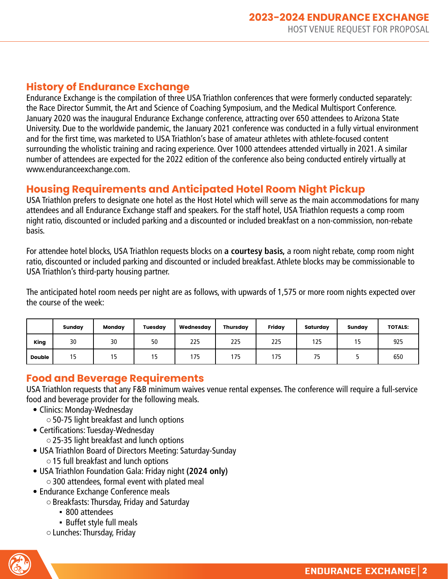#### **History of Endurance Exchange**

Endurance Exchange is the compilation of three USA Triathlon conferences that were formerly conducted separately: the Race Director Summit, the Art and Science of Coaching Symposium, and the Medical Multisport Conference. January 2020 was the inaugural Endurance Exchange conference, attracting over 650 attendees to Arizona State University. Due to the worldwide pandemic, the January 2021 conference was conducted in a fully virtual environment and for the first time, was marketed to USA Triathlon's base of amateur athletes with athlete-focused content surrounding the wholistic training and racing experience. Over 1000 attendees attended virtually in 2021. A similar number of attendees are expected for the 2022 edition of the conference also being conducted entirely virtually at www.enduranceexchange.com.

#### **Housing Requirements and Anticipated Hotel Room Night Pickup**

USA Triathlon prefers to designate one hotel as the Host Hotel which will serve as the main accommodations for many attendees and all Endurance Exchange staff and speakers. For the staff hotel, USA Triathlon requests a comp room night ratio, discounted or included parking and a discounted or included breakfast on a non-commission, non-rebate basis.

For attendee hotel blocks, USA Triathlon requests blocks on **a courtesy basis,** a room night rebate, comp room night ratio, discounted or included parking and discounted or included breakfast. Athlete blocks may be commissionable to USA Triathlon's third-party housing partner.

The anticipated hotel room needs per night are as follows, with upwards of 1,575 or more room nights expected over the course of the week:

|               | Sunday | Monday | <b>Tuesday</b> | Wednesday | <b>Thursday</b> | Friday | Saturday | Sunday | <b>TOTALS:</b> |
|---------------|--------|--------|----------------|-----------|-----------------|--------|----------|--------|----------------|
| King          | 30     | 30     | 50             | 225       | 225             | 225    | 125      | . .    | 925            |
| <b>Double</b> | כ ו    | כו     | כ ו            | 175       | 175             | 175    | 75       |        | 650            |

#### **Food and Beverage Requirements**

USA Triathlon requests that any F&B minimum waives venue rental expenses. The conference will require a full-service food and beverage provider for the following meals.

- Clinics: Monday-Wednesday
	- ○50-75 light breakfast and lunch options
- Certifications: Tuesday-Wednesday
	- ○25-35 light breakfast and lunch options
- USA Triathlon Board of Directors Meeting: Saturday-Sunday ○15 full breakfast and lunch options
- USA Triathlon Foundation Gala: Friday night **(2024 only)**  $\circ$  300 attendees, formal event with plated meal
- Endurance Exchange Conference meals
	- ○Breakfasts: Thursday, Friday and Saturday
		- 800 attendees
		- **· Buffet style full meals**
	- ○Lunches: Thursday, Friday

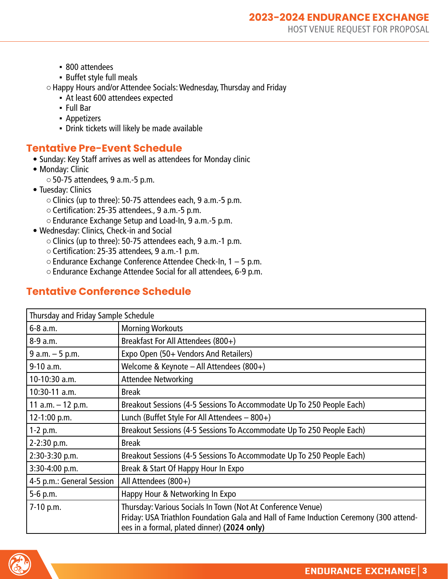- 800 attendees
- **·** Buffet style full meals
- ○Happy Hours and/or Attendee Socials: Wednesday, Thursday and Friday
	- At least 600 attendees expected
	- Full Bar
	- **Appetizers**
	- Drink tickets will likely be made available

#### **Tentative Pre-Event Schedule**

- Sunday: Key Staff arrives as well as attendees for Monday clinic
- Monday: Clinic
	- $\circ$  50-75 attendees, 9 a.m.-5 p.m.
- Tuesday: Clinics
	- ○Clinics (up to three): 50-75 attendees each, 9 a.m.-5 p.m.
	- ○Certification: 25-35 attendees., 9 a.m.-5 p.m.
	- ○Endurance Exchange Setup and Load-In, 9 a.m.-5 p.m.
- Wednesday: Clinics, Check-in and Social
	- ○Clinics (up to three): 50-75 attendees each, 9 a.m.-1 p.m.
	- ○Certification: 25-35 attendees, 9 a.m.-1 p.m.
	- $\circ$  Endurance Exchange Conference Attendee Check-In, 1 5 p.m.
	- ○Endurance Exchange Attendee Social for all attendees, 6-9 p.m.

#### **Tentative Conference Schedule**

| Thursday and Friday Sample Schedule |                                                                                                                                                                                                      |  |  |  |
|-------------------------------------|------------------------------------------------------------------------------------------------------------------------------------------------------------------------------------------------------|--|--|--|
| 6-8 a.m.                            | <b>Morning Workouts</b>                                                                                                                                                                              |  |  |  |
| 8-9 a.m.                            | Breakfast For All Attendees (800+)                                                                                                                                                                   |  |  |  |
| $9 a.m. - 5 p.m.$                   | Expo Open (50+ Vendors And Retailers)                                                                                                                                                                |  |  |  |
| $9-10$ a.m.                         | Welcome & Keynote - All Attendees (800+)                                                                                                                                                             |  |  |  |
| 10-10:30 a.m.                       | <b>Attendee Networking</b>                                                                                                                                                                           |  |  |  |
| $10:30-11$ a.m.                     | <b>Break</b>                                                                                                                                                                                         |  |  |  |
| 11 a.m. $-$ 12 p.m.                 | Breakout Sessions (4-5 Sessions To Accommodate Up To 250 People Each)                                                                                                                                |  |  |  |
| 12-1:00 p.m.                        | Lunch (Buffet Style For All Attendees - 800+)                                                                                                                                                        |  |  |  |
| $1-2$ p.m.                          | Breakout Sessions (4-5 Sessions To Accommodate Up To 250 People Each)                                                                                                                                |  |  |  |
| 2-2:30 p.m.                         | <b>Break</b>                                                                                                                                                                                         |  |  |  |
| 2:30-3:30 p.m.                      | Breakout Sessions (4-5 Sessions To Accommodate Up To 250 People Each)                                                                                                                                |  |  |  |
| 3:30-4:00 p.m.                      | Break & Start Of Happy Hour In Expo                                                                                                                                                                  |  |  |  |
| 4-5 p.m.: General Session           | All Attendees (800+)                                                                                                                                                                                 |  |  |  |
| 5-6 p.m.                            | Happy Hour & Networking In Expo                                                                                                                                                                      |  |  |  |
| 7-10 p.m.                           | Thursday: Various Socials In Town (Not At Conference Venue)<br>Friday: USA Triathlon Foundation Gala and Hall of Fame Induction Ceremony (300 attend-<br>ees in a formal, plated dinner) (2024 only) |  |  |  |

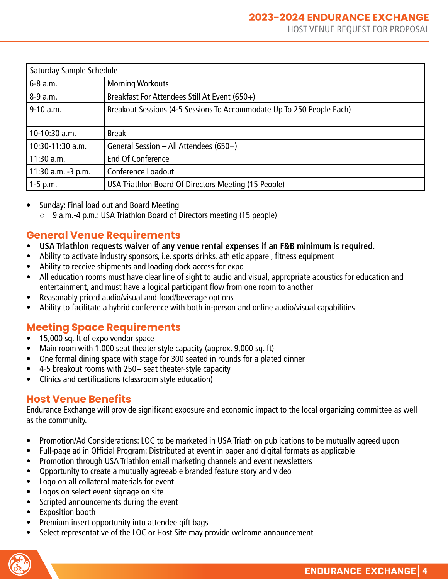| Saturday Sample Schedule |                                                                       |  |  |  |
|--------------------------|-----------------------------------------------------------------------|--|--|--|
| 6-8 a.m.                 | <b>Morning Workouts</b>                                               |  |  |  |
| $8-9$ a.m.               | Breakfast For Attendees Still At Event (650+)                         |  |  |  |
| $9-10$ a.m.              | Breakout Sessions (4-5 Sessions To Accommodate Up To 250 People Each) |  |  |  |
|                          |                                                                       |  |  |  |
| 10-10:30 a.m.            | <b>Break</b>                                                          |  |  |  |
| 10:30-11:30 a.m.         | General Session $-$ All Attendees (650+)                              |  |  |  |
| $11:30$ a.m.             | End Of Conference                                                     |  |  |  |
| 11:30 a.m. -3 p.m.       | <b>Conference Loadout</b>                                             |  |  |  |
| $1-5$ p.m.               | USA Triathlon Board Of Directors Meeting (15 People)                  |  |  |  |

- Sunday: Final load out and Board Meeting
	- 9 a.m.-4 p.m.: USA Triathlon Board of Directors meeting (15 people)

#### **General Venue Requirements**

- **• USA Triathlon requests waiver of any venue rental expenses if an F&B minimum is required.**
- Ability to activate industry sponsors, i.e. sports drinks, athletic apparel, fitness equipment
- Ability to receive shipments and loading dock access for expo
- All education rooms must have clear line of sight to audio and visual, appropriate acoustics for education and entertainment, and must have a logical participant flow from one room to another
- Reasonably priced audio/visual and food/beverage options
- Ability to facilitate a hybrid conference with both in-person and online audio/visual capabilities

## **Meeting Space Requirements**

- 15,000 sq. ft of expo vendor space
- Main room with 1,000 seat theater style capacity (approx. 9,000 sq. ft)
- One formal dining space with stage for 300 seated in rounds for a plated dinner
- 4-5 breakout rooms with 250+ seat theater-style capacity
- Clinics and certifications (classroom style education)

#### **Host Venue Benefits**

Endurance Exchange will provide significant exposure and economic impact to the local organizing committee as well as the community.

- Promotion/Ad Considerations: LOC to be marketed in USA Triathlon publications to be mutually agreed upon
- Full-page ad in Official Program: Distributed at event in paper and digital formats as applicable
- Promotion through USA Triathlon email marketing channels and event newsletters
- Opportunity to create a mutually agreeable branded feature story and video
- Logo on all collateral materials for event
- Logos on select event signage on site
- Scripted announcements during the event
- Exposition booth
- Premium insert opportunity into attendee gift bags
- Select representative of the LOC or Host Site may provide welcome announcement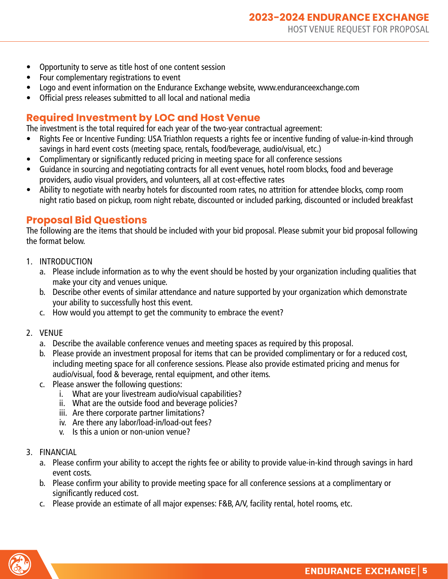- Opportunity to serve as title host of one content session
- Four complementary registrations to event
- Logo and event information on the Endurance Exchange website, www.enduranceexchange.com
- Official press releases submitted to all local and national media

#### **Required Investment by LOC and Host Venue**

The investment is the total required for each year of the two-year contractual agreement:

- Rights Fee or Incentive Funding: USA Triathlon requests a rights fee or incentive funding of value-in-kind through savings in hard event costs (meeting space, rentals, food/beverage, audio/visual, etc.)
- Complimentary or significantly reduced pricing in meeting space for all conference sessions
- Guidance in sourcing and negotiating contracts for all event venues, hotel room blocks, food and beverage providers, audio visual providers, and volunteers, all at cost-effective rates
- Ability to negotiate with nearby hotels for discounted room rates, no attrition for attendee blocks, comp room night ratio based on pickup, room night rebate, discounted or included parking, discounted or included breakfast

#### **Proposal Bid Questions**

The following are the items that should be included with your bid proposal. Please submit your bid proposal following the format below.

- 1. INTRODUCTION
	- a. Please include information as to why the event should be hosted by your organization including qualities that make your city and venues unique.
	- b. Describe other events of similar attendance and nature supported by your organization which demonstrate your ability to successfully host this event.
	- c. How would you attempt to get the community to embrace the event?
- 2. VENUE
	- a. Describe the available conference venues and meeting spaces as required by this proposal.
	- b. Please provide an investment proposal for items that can be provided complimentary or for a reduced cost, including meeting space for all conference sessions. Please also provide estimated pricing and menus for audio/visual, food & beverage, rental equipment, and other items.
	- c. Please answer the following questions:
		- i. What are your livestream audio/visual capabilities?
		- ii. What are the outside food and beverage policies?
		- iii. Are there corporate partner limitations?
		- iv. Are there any labor/load-in/load-out fees?
		- v. Is this a union or non-union venue?
- 3. FINANCIAL
	- a. Please confirm your ability to accept the rights fee or ability to provide value-in-kind through savings in hard event costs.
	- b. Please confirm your ability to provide meeting space for all conference sessions at a complimentary or significantly reduced cost.
	- c. Please provide an estimate of all major expenses: F&B, A/V, facility rental, hotel rooms, etc.